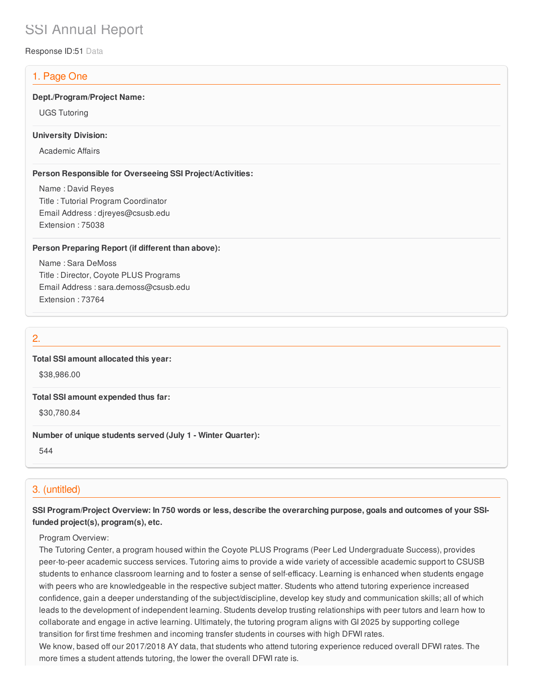# SSI Annual Report

Response ID:51 Data

# 1. Page One

#### **Dept./Program/Project Name:**

UGS Tutoring

#### **University Division:**

Academic Affairs

#### **Person Responsible for Overseeing SSI Project/Activities:**

Name : David Reyes Title : Tutorial Program Coordinator Email Address : djreyes@csusb.edu Extension : 75038

#### **Person Preparing Report (if different than above):**

Name : Sara DeMoss Title : Director, Coyote PLUS Programs Email Address : sara.demoss@csusb.edu Extension : 73764

## 2.

## **Total SSI amount allocated this year:**

\$38,986.00

#### **Total SSI amount expended thus far:**

\$30,780.84

## **Number of unique students served (July 1 - Winter Quarter):**

544

# 3. (untitled)

## SSI Program/Project Overview: In 750 words or less, describe the overarching purpose, goals and outcomes of your SSI**funded project(s), program(s), etc.**

#### Program Overview:

The Tutoring Center, a program housed within the Coyote PLUS Programs (Peer Led Undergraduate Success), provides peer-to-peer academic success services. Tutoring aims to provide a wide variety of accessible academic support to CSUSB students to enhance classroom learning and to foster a sense of self-efficacy. Learning is enhanced when students engage with peers who are knowledgeable in the respective subject matter. Students who attend tutoring experience increased confidence, gain a deeper understanding of the subject/discipline, develop key study and communication skills; all of which leads to the development of independent learning. Students develop trusting relationships with peer tutors and learn how to collaborate and engage in active learning. Ultimately, the tutoring program aligns with GI 2025 by supporting college transition for first time freshmen and incoming transfer students in courses with high DFWI rates.

We know, based off our 2017/2018 AY data, that students who attend tutoring experience reduced overall DFWI rates. The more times a student attends tutoring, the lower the overall DFWI rate is.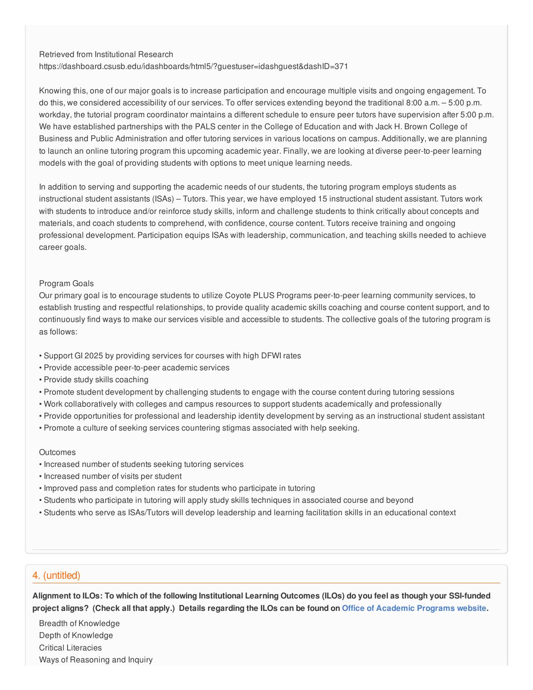Retrieved from Institutional Research

https://dashboard.csusb.edu/idashboards/html5/?guestuser=idashguest&dashID=371

Knowing this, one of our major goals is to increase participation and encourage multiple visits and ongoing engagement. To do this, we considered accessibility of our services. To offer services extending beyond the traditional 8:00 a.m. – 5:00 p.m. workday, the tutorial program coordinator maintains a different schedule to ensure peer tutors have supervision after 5:00 p.m. We have established partnerships with the PALS center in the College of Education and with Jack H. Brown College of Business and Public Administration and offer tutoring services in various locations on campus. Additionally, we are planning to launch an online tutoring program this upcoming academic year. Finally, we are looking at diverse peer-to-peer learning models with the goal of providing students with options to meet unique learning needs.

In addition to serving and supporting the academic needs of our students, the tutoring program employs students as instructional student assistants (ISAs) – Tutors. This year, we have employed 15 instructional student assistant. Tutors work with students to introduce and/or reinforce study skills, inform and challenge students to think critically about concepts and materials, and coach students to comprehend, with confidence, course content. Tutors receive training and ongoing professional development. Participation equips ISAs with leadership, communication, and teaching skills needed to achieve career goals.

#### Program Goals

Our primary goal is to encourage students to utilize Coyote PLUS Programs peer-to-peer learning community services, to establish trusting and respectful relationships, to provide quality academic skills coaching and course content support, and to continuously find ways to make our services visible and accessible to students. The collective goals of the tutoring program is as follows:

- Support GI 2025 by providing services for courses with high DFWI rates
- Provide accessible peer-to-peer academic services
- Provide study skills coaching
- Promote student development by challenging students to engage with the course content during tutoring sessions
- Work collaboratively with colleges and campus resources to support students academically and professionally
- Provide opportunities for professional and leadership identity development by serving as an instructional student assistant
- Promote a culture of seeking services countering stigmas associated with help seeking.

#### **Outcomes**

- Increased number of students seeking tutoring services
- Increased number of visits per student
- Improved pass and completion rates for students who participate in tutoring
- Students who participate in tutoring will apply study skills techniques in associated course and beyond
- Students who serve as ISAs/Tutors will develop leadership and learning facilitation skills in an educational context

## 4. (untitled)

Alignment to ILOs: To which of the following Institutional Learning Outcomes (ILOs) do you feel as though your SSI-funded project aligns? (Check all that apply.) Details regarding the ILOs can be found on Office of [Academic](https://www.csusb.edu/sites/csusb/files/CSUSB_Institutional_Learning_Outcomes-Endorsed.pdf) Programs website.

Breadth of Knowledge Depth of Knowledge Critical Literacies Ways of Reasoning and Inquiry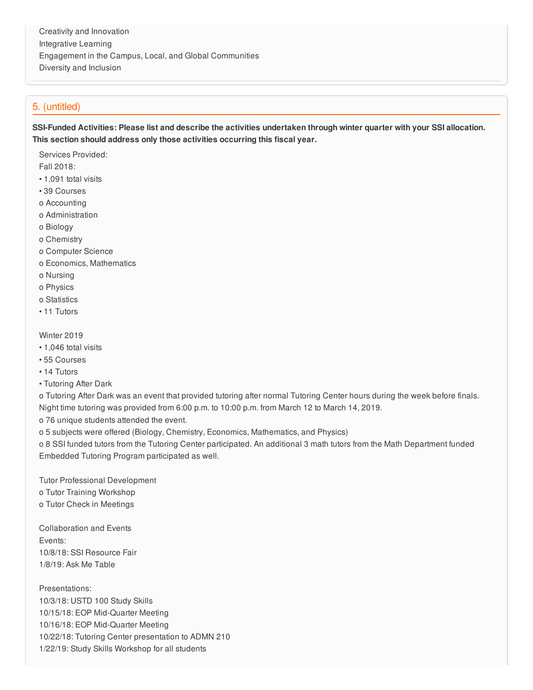Creativity and Innovation Integrative Learning Engagement in the Campus, Local, and Global Communities Diversity and Inclusion

## 5. (untitled)

SSI-Funded Activities: Please list and describe the activities undertaken through winter quarter with your SSI allocation. **This section should address only those activities occurring this fiscal year.**

Services Provided:

Fall 2018:

- 1,091 total visits
- 39 Courses
- o Accounting
- o Administration
- o Biology
- o Chemistry
- o Computer Science
- o Economics, Mathematics
- o Nursing
- o Physics
- o Statistics
- 11 Tutors

Winter 2019

- 1,046 total visits
- 55 Courses
- 14 Tutors
- Tutoring After Dark

o Tutoring After Dark was an event that provided tutoring after normal Tutoring Center hours during the week before finals. Night time tutoring was provided from 6:00 p.m. to 10:00 p.m. from March 12 to March 14, 2019.

- o 76 unique students attended the event.
- o 5 subjects were offered (Biology, Chemistry, Economics, Mathematics, and Physics)

o 8 SSI funded tutors from the Tutoring Center participated. An additional 3 math tutors from the Math Department funded Embedded Tutoring Program participated as well.

Tutor Professional Development

- o Tutor Training Workshop
- o Tutor Check in Meetings

Collaboration and Events Events: 10/8/18: SSI Resource Fair 1/8/19: Ask Me Table

Presentations: 10/3/18: USTD 100 Study Skills 10/15/18: EOP Mid-Quarter Meeting 10/16/18: EOP Mid-Quarter Meeting 10/22/18: Tutoring Center presentation to ADMN 210 1/22/19: Study Skills Workshop for all students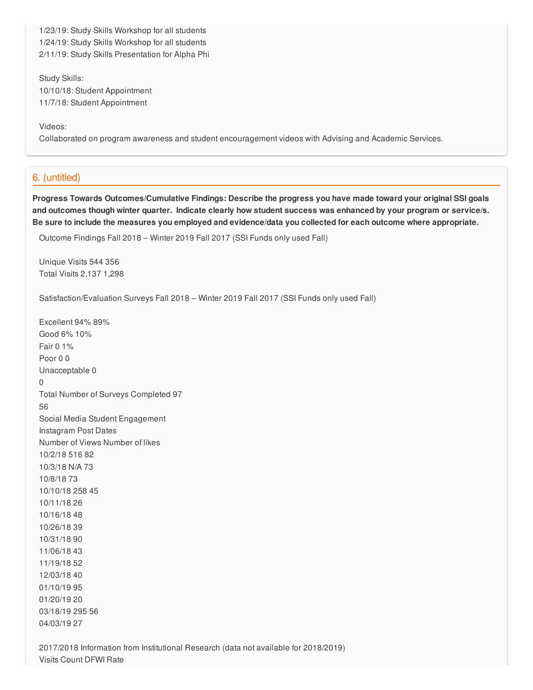1/23/19: Study Skills Workshop for all students 1/24/19: Study Skills Workshop for all students 2/11/19: Study Skills Presentation for Alpha Phi

Study Skills: 10/10/18: Student Appointment 11/7/18: Student Appointment

Videos:

Collaborated on program awareness and student encouragement videos with Advising and Academic Services.

## 6. (untitled)

**Progress Towards Outcomes/Cumulative Findings: Describe the progress you have made toward your original SSI goals** and outcomes though winter quarter. Indicate clearly how student success was enhanced by your program or service/s. Be sure to include the measures you employed and evidence/data you collected for each outcome where appropriate.

Outcome Findings Fall 2018 – Winter 2019 Fall 2017 (SSI Funds only used Fall)

Unique Visits 544 356 Total Visits 2,137 1,298

Satisfaction/Evaluation Surveys Fall 2018 – Winter 2019 Fall 2017 (SSI Funds only used Fall)

Excellent 94% 89% Good 6% 10% Fair 0 1% Poor 0 0 Unacceptable 0 0 Total Number of Surveys Completed 97 56 Social Media Student Engagement Instagram Post Dates Number of Views Number of likes 10/2/18 516 82 10/3/18 N/A 73 10/8/18 73 10/10/18 258 45 10/11/18 26 10/16/18 48 10/26/18 39 10/31/18 90 11/06/18 43 11/19/18 52 12/03/18 40 01/10/19 95 01/20/19 20 03/18/19 295 56 04/03/19 27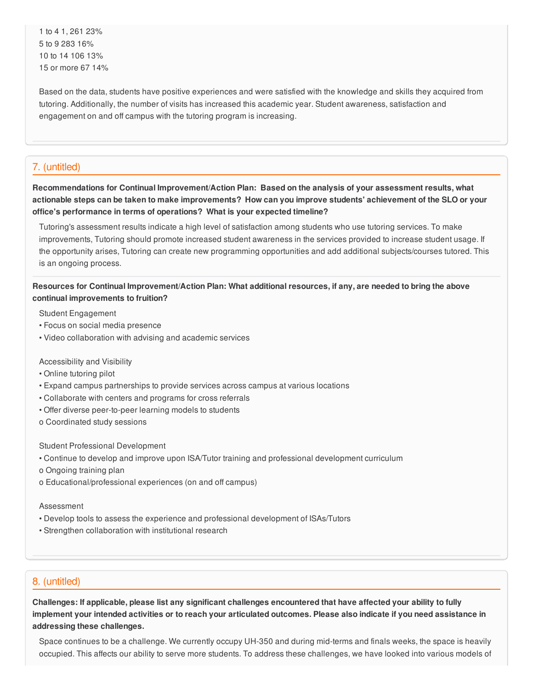to 4 1, 261 23% to 9 283 16% to 14 106 13% or more 67 14%

Based on the data, students have positive experiences and were satisfied with the knowledge and skills they acquired from tutoring. Additionally, the number of visits has increased this academic year. Student awareness, satisfaction and engagement on and off campus with the tutoring program is increasing.

## 7. (untitled)

**Recommendations for Continual Improvement/Action Plan: Based on the analysis of your assessment results, what** actionable steps can be taken to make improvements? How can you improve students' achievement of the SLO or your **office's performance in terms of operations? What is your expected timeline?**

Tutoring's assessment results indicate a high level of satisfaction among students who use tutoring services. To make improvements, Tutoring should promote increased student awareness in the services provided to increase student usage. If the opportunity arises, Tutoring can create new programming opportunities and add additional subjects/courses tutored. This is an ongoing process.

## Resources for Continual Improvement/Action Plan: What additional resources, if any, are needed to bring the above **continual improvements to fruition?**

Student Engagement

- Focus on social media presence
- Video collaboration with advising and academic services

Accessibility and Visibility

- Online tutoring pilot
- Expand campus partnerships to provide services across campus at various locations
- Collaborate with centers and programs for cross referrals
- Offer diverse peer-to-peer learning models to students
- o Coordinated study sessions

Student Professional Development

- Continue to develop and improve upon ISA/Tutor training and professional development curriculum
- o Ongoing training plan
- o Educational/professional experiences (on and off campus)

Assessment

- Develop tools to assess the experience and professional development of ISAs/Tutors
- Strengthen collaboration with institutional research

## 8. (untitled)

Challenges: If applicable, please list any significant challenges encountered that have affected your ability to fully implement your intended activities or to reach your articulated outcomes. Please also indicate if you need assistance in **addressing these challenges.**

Space continues to be a challenge. We currently occupy UH-350 and during mid-terms and finals weeks, the space is heavily occupied. This affects our ability to serve more students. To address these challenges, we have looked into various models of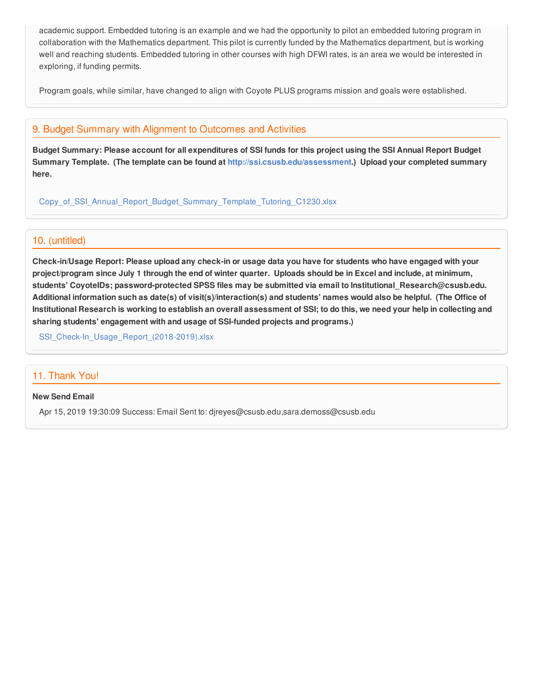academic support. Embedded tutoring is an example and we had the opportunity to pilot an embedded tutoring program in collaboration with the Mathematics department. This pilot is currently funded by the Mathematics department, but is working well and reaching students. Embedded tutoring in other courses with high DFWI rates, is an area we would be interested in exploring, if funding permits.

Program goals, while similar, have changed to align with Coyote PLUS programs mission and goals were established.

## 9. Budget Summary with Alignment to Outcomes and Activities

Budget Summary: Please account for all expenditures of SSI funds for this project using the SSI Annual Report Budget **Summary Template. (The template can be found at <http://ssi.csusb.edu/assessment>.) Upload your completed summary here.**

[Copy\\_of\\_SSI\\_Annual\\_Report\\_Budget\\_Summary\\_Template\\_Tutoring\\_C1230.xlsx](https://surveygizmoresponseuploads.s3.amazonaws.com/fileuploads/98679/3939151/224-be40659eb64353887fb0c7826e652a8f_Copy_of_SSI_Annual_Report_Budget_Summary_Template_Tutoring_C1230.xlsx)

## 10. (untitled)

Check-in/Usage Report: Please upload any check-in or usage data you have for students who have engaged with your project/program since July 1 through the end of winter quarter. Uploads should be in Excel and include, at minimum, **students' CoyoteIDs; password-protected SPSS files may be submitted via email to Institutional\_Research@csusb.edu.** Additional information such as date(s) of visit(s)/interaction(s) and students' names would also be helpful. (The Office of Institutional Research is working to establish an overall assessment of SSI; to do this, we need your help in collecting and **sharing students' engagement with and usage of SSI-funded projects and programs.)**

SSI Check-In Usage Report (2018-2019).xlsx

# 11. Thank You!

#### **New Send Email**

Apr 15, 2019 19:30:09 Success: Email Sent to: djreyes@csusb.edu,sara.demoss@csusb.edu